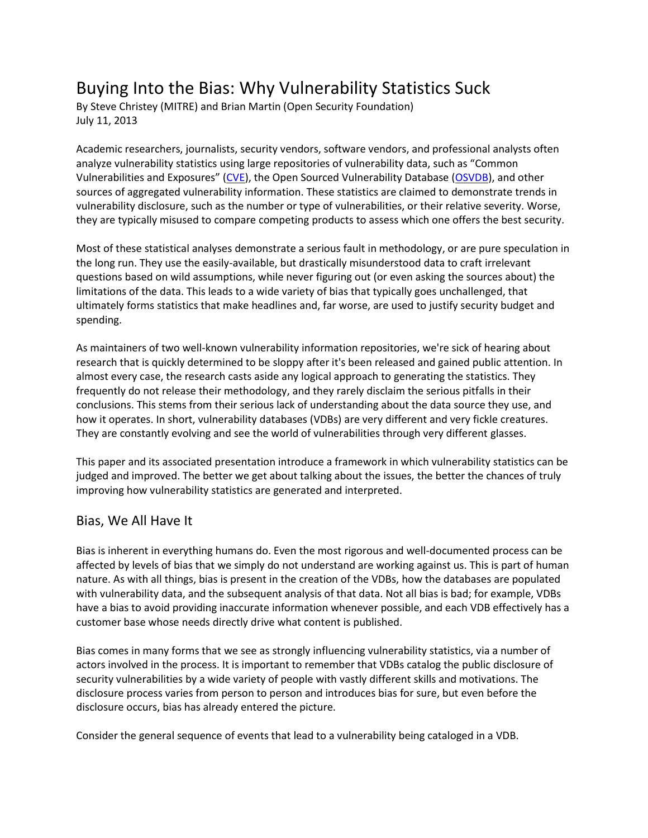# Buying Into the Bias: Why Vulnerability Statistics Suck

By Steve Christey (MITRE) and Brian Martin (Open Security Foundation) July 11, 2013

Academic researchers, journalists, security vendors, software vendors, and professional analysts often analyze vulnerability statistics using large repositories of vulnerability data, such as "Common Vulnerabilities and Exposures" ([CVE\)](http://cve.mitre.org/), the Open Sourced Vulnerability Database [\(OSVDB\)](http://osvdb.org/), and other sources of aggregated vulnerability information. These statistics are claimed to demonstrate trends in vulnerability disclosure, such as the number or type of vulnerabilities, or their relative severity. Worse, they are typically misused to compare competing products to assess which one offers the best security.

Most of these statistical analyses demonstrate a serious fault in methodology, or are pure speculation in the long run. They use the easily-available, but drastically misunderstood data to craft irrelevant questions based on wild assumptions, while never figuring out (or even asking the sources about) the limitations of the data. This leads to a wide variety of bias that typically goes unchallenged, that ultimately forms statistics that make headlines and, far worse, are used to justify security budget and spending.

As maintainers of two well-known vulnerability information repositories, we're sick of hearing about research that is quickly determined to be sloppy after it's been released and gained public attention. In almost every case, the research casts aside any logical approach to generating the statistics. They frequently do not release their methodology, and they rarely disclaim the serious pitfalls in their conclusions. This stems from their serious lack of understanding about the data source they use, and how it operates. In short, vulnerability databases (VDBs) are very different and very fickle creatures. They are constantly evolving and see the world of vulnerabilities through very different glasses.

This paper and its associated presentation introduce a framework in which vulnerability statistics can be judged and improved. The better we get about talking about the issues, the better the chances of truly improving how vulnerability statistics are generated and interpreted.

### Bias, We All Have It

Bias is inherent in everything humans do. Even the most rigorous and well-documented process can be affected by levels of bias that we simply do not understand are working against us. This is part of human nature. As with all things, bias is present in the creation of the VDBs, how the databases are populated with vulnerability data, and the subsequent analysis of that data. Not all bias is bad; for example, VDBs have a bias to avoid providing inaccurate information whenever possible, and each VDB effectively has a customer base whose needs directly drive what content is published.

Bias comes in many forms that we see as strongly influencing vulnerability statistics, via a number of actors involved in the process. It is important to remember that VDBs catalog the public disclosure of security vulnerabilities by a wide variety of people with vastly different skills and motivations. The disclosure process varies from person to person and introduces bias for sure, but even before the disclosure occurs, bias has already entered the picture.

Consider the general sequence of events that lead to a vulnerability being cataloged in a VDB.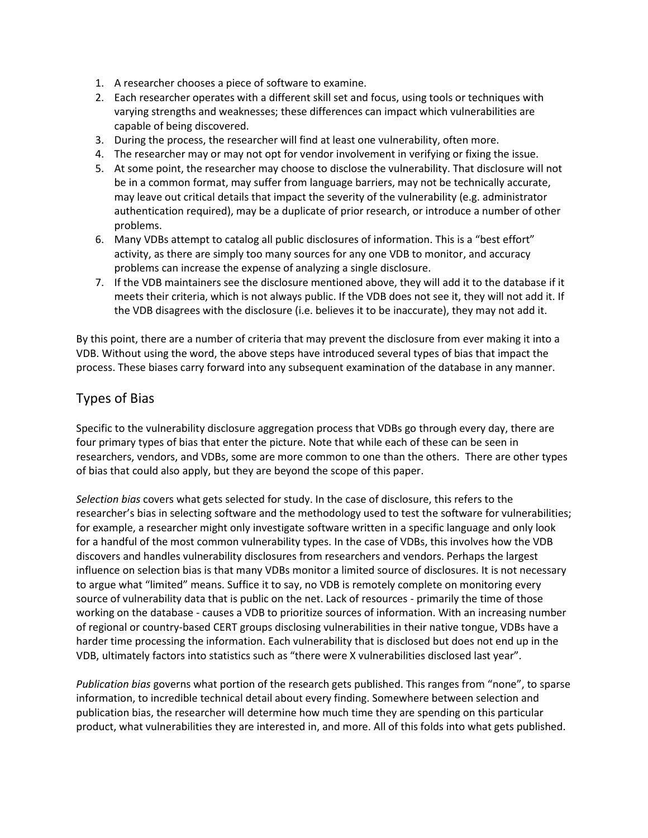- 1. A researcher chooses a piece of software to examine.
- 2. Each researcher operates with a different skill set and focus, using tools or techniques with varying strengths and weaknesses; these differences can impact which vulnerabilities are capable of being discovered.
- 3. During the process, the researcher will find at least one vulnerability, often more.
- 4. The researcher may or may not opt for vendor involvement in verifying or fixing the issue.
- 5. At some point, the researcher may choose to disclose the vulnerability. That disclosure will not be in a common format, may suffer from language barriers, may not be technically accurate, may leave out critical details that impact the severity of the vulnerability (e.g. administrator authentication required), may be a duplicate of prior research, or introduce a number of other problems.
- 6. Many VDBs attempt to catalog all public disclosures of information. This is a "best effort" activity, as there are simply too many sources for any one VDB to monitor, and accuracy problems can increase the expense of analyzing a single disclosure.
- 7. If the VDB maintainers see the disclosure mentioned above, they will add it to the database if it meets their criteria, which is not always public. If the VDB does not see it, they will not add it. If the VDB disagrees with the disclosure (i.e. believes it to be inaccurate), they may not add it.

By this point, there are a number of criteria that may prevent the disclosure from ever making it into a VDB. Without using the word, the above steps have introduced several types of bias that impact the process. These biases carry forward into any subsequent examination of the database in any manner.

# Types of Bias

Specific to the vulnerability disclosure aggregation process that VDBs go through every day, there are four primary types of bias that enter the picture. Note that while each of these can be seen in researchers, vendors, and VDBs, some are more common to one than the others. There are other types of bias that could also apply, but they are beyond the scope of this paper.

*Selection bias* covers what gets selected for study. In the case of disclosure, this refers to the researcher's bias in selecting software and the methodology used to test the software for vulnerabilities; for example, a researcher might only investigate software written in a specific language and only look for a handful of the most common vulnerability types. In the case of VDBs, this involves how the VDB discovers and handles vulnerability disclosures from researchers and vendors. Perhaps the largest influence on selection bias is that many VDBs monitor a limited source of disclosures. It is not necessary to argue what "limited" means. Suffice it to say, no VDB is remotely complete on monitoring every source of vulnerability data that is public on the net. Lack of resources - primarily the time of those working on the database - causes a VDB to prioritize sources of information. With an increasing number of regional or country-based CERT groups disclosing vulnerabilities in their native tongue, VDBs have a harder time processing the information. Each vulnerability that is disclosed but does not end up in the VDB, ultimately factors into statistics such as "there were X vulnerabilities disclosed last year".

*Publication bias* governs what portion of the research gets published. This ranges from "none", to sparse information, to incredible technical detail about every finding. Somewhere between selection and publication bias, the researcher will determine how much time they are spending on this particular product, what vulnerabilities they are interested in, and more. All of this folds into what gets published.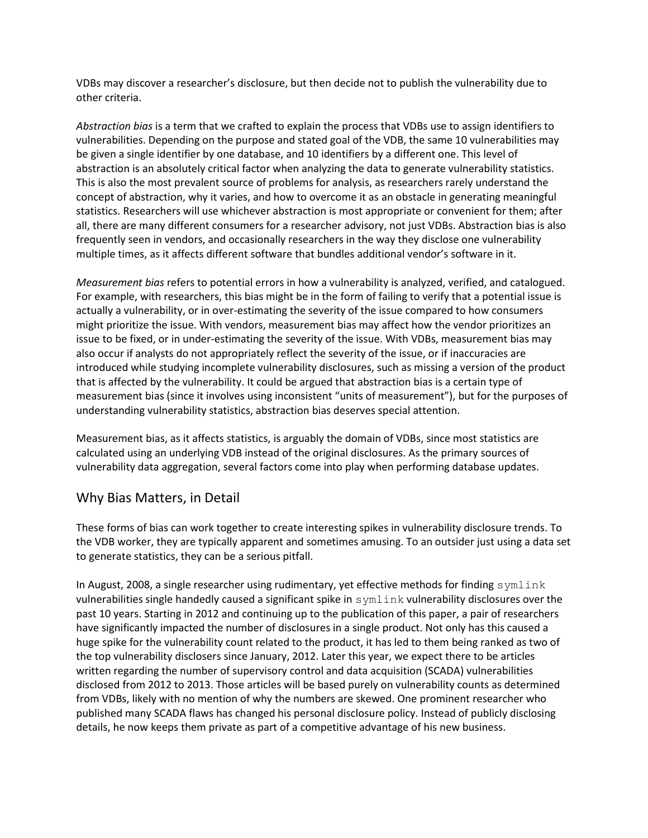VDBs may discover a researcher's disclosure, but then decide not to publish the vulnerability due to other criteria.

*Abstraction bias* is a term that we crafted to explain the process that VDBs use to assign identifiers to vulnerabilities. Depending on the purpose and stated goal of the VDB, the same 10 vulnerabilities may be given a single identifier by one database, and 10 identifiers by a different one. This level of abstraction is an absolutely critical factor when analyzing the data to generate vulnerability statistics. This is also the most prevalent source of problems for analysis, as researchers rarely understand the concept of abstraction, why it varies, and how to overcome it as an obstacle in generating meaningful statistics. Researchers will use whichever abstraction is most appropriate or convenient for them; after all, there are many different consumers for a researcher advisory, not just VDBs. Abstraction bias is also frequently seen in vendors, and occasionally researchers in the way they disclose one vulnerability multiple times, as it affects different software that bundles additional vendor's software in it.

*Measurement bias* refers to potential errors in how a vulnerability is analyzed, verified, and catalogued. For example, with researchers, this bias might be in the form of failing to verify that a potential issue is actually a vulnerability, or in over-estimating the severity of the issue compared to how consumers might prioritize the issue. With vendors, measurement bias may affect how the vendor prioritizes an issue to be fixed, or in under-estimating the severity of the issue. With VDBs, measurement bias may also occur if analysts do not appropriately reflect the severity of the issue, or if inaccuracies are introduced while studying incomplete vulnerability disclosures, such as missing a version of the product that is affected by the vulnerability. It could be argued that abstraction bias is a certain type of measurement bias (since it involves using inconsistent "units of measurement"), but for the purposes of understanding vulnerability statistics, abstraction bias deserves special attention.

Measurement bias, as it affects statistics, is arguably the domain of VDBs, since most statistics are calculated using an underlying VDB instead of the original disclosures. As the primary sources of vulnerability data aggregation, several factors come into play when performing database updates.

### Why Bias Matters, in Detail

These forms of bias can work together to create interesting spikes in vulnerability disclosure trends. To the VDB worker, they are typically apparent and sometimes amusing. To an outsider just using a data set to generate statistics, they can be a serious pitfall.

In August, 2008, a single researcher using rudimentary, yet effective methods for finding symlink vulnerabilities single handedly caused a significant spike in symlink vulnerability disclosures over the past 10 years. Starting in 2012 and continuing up to the publication of this paper, a pair of researchers have significantly impacted the number of disclosures in a single product. Not only has this caused a huge spike for the vulnerability count related to the product, it has led to them being ranked as two of the top vulnerability disclosers since January, 2012. Later this year, we expect there to be articles written regarding the number of supervisory control and data acquisition (SCADA) vulnerabilities disclosed from 2012 to 2013. Those articles will be based purely on vulnerability counts as determined from VDBs, likely with no mention of why the numbers are skewed. One prominent researcher who published many SCADA flaws has changed his personal disclosure policy. Instead of publicly disclosing details, he now keeps them private as part of a competitive advantage of his new business.